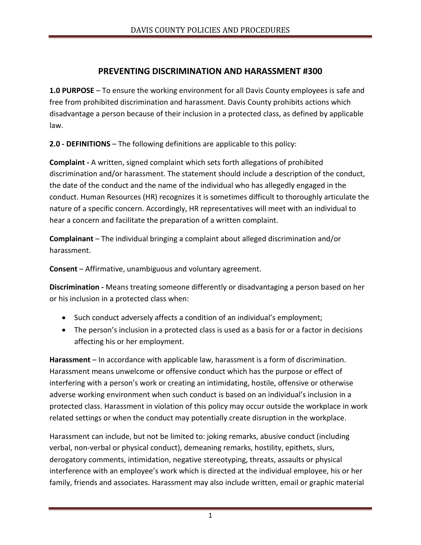## **PREVENTING DISCRIMINATION AND HARASSMENT #300**

**1.0 PURPOSE** – To ensure the working environment for all Davis County employees is safe and free from prohibited discrimination and harassment. Davis County prohibits actions which disadvantage a person because of their inclusion in a protected class, as defined by applicable law.

**2.0 - DEFINITIONS** – The following definitions are applicable to this policy:

**Complaint -** A written, signed complaint which sets forth allegations of prohibited discrimination and/or harassment. The statement should include a description of the conduct, the date of the conduct and the name of the individual who has allegedly engaged in the conduct. Human Resources (HR) recognizes it is sometimes difficult to thoroughly articulate the nature of a specific concern. Accordingly, HR representatives will meet with an individual to hear a concern and facilitate the preparation of a written complaint.

**Complainant** – The individual bringing a complaint about alleged discrimination and/or harassment.

**Consent** – Affirmative, unambiguous and voluntary agreement.

**Discrimination -** Means treating someone differently or disadvantaging a person based on her or his inclusion in a protected class when:

- Such conduct adversely affects a condition of an individual's employment;
- The person's inclusion in a protected class is used as a basis for or a factor in decisions affecting his or her employment.

**Harassment** – In accordance with applicable law, harassment is a form of discrimination. Harassment means unwelcome or offensive conduct which has the purpose or effect of interfering with a person's work or creating an intimidating, hostile, offensive or otherwise adverse working environment when such conduct is based on an individual's inclusion in a protected class. Harassment in violation of this policy may occur outside the workplace in work related settings or when the conduct may potentially create disruption in the workplace.

Harassment can include, but not be limited to: joking remarks, abusive conduct (including verbal, non-verbal or physical conduct), demeaning remarks, hostility, epithets, slurs, derogatory comments, intimidation, negative stereotyping, threats, assaults or physical interference with an employee's work which is directed at the individual employee, his or her family, friends and associates. Harassment may also include written, email or graphic material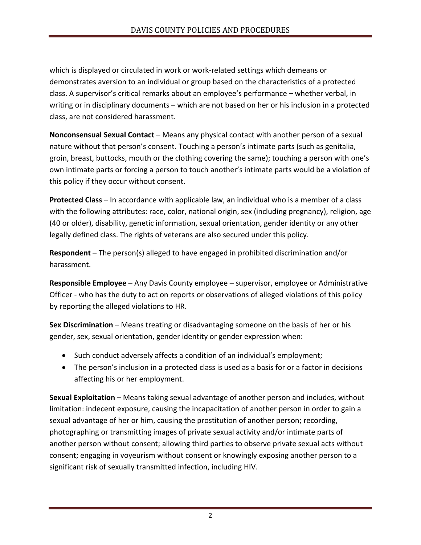which is displayed or circulated in work or work-related settings which demeans or demonstrates aversion to an individual or group based on the characteristics of a protected class. A supervisor's critical remarks about an employee's performance – whether verbal, in writing or in disciplinary documents – which are not based on her or his inclusion in a protected class, are not considered harassment.

**Nonconsensual Sexual Contact** – Means any physical contact with another person of a sexual nature without that person's consent. Touching a person's intimate parts (such as genitalia, groin, breast, buttocks, mouth or the clothing covering the same); touching a person with one's own intimate parts or forcing a person to touch another's intimate parts would be a violation of this policy if they occur without consent.

**Protected Class** – In accordance with applicable law, an individual who is a member of a class with the following attributes: race, color, national origin, sex (including pregnancy), religion, age (40 or older), disability, genetic information, sexual orientation, gender identity or any other legally defined class. The rights of veterans are also secured under this policy.

**Respondent** – The person(s) alleged to have engaged in prohibited discrimination and/or harassment.

**Responsible Employee** – Any Davis County employee – supervisor, employee or Administrative Officer - who has the duty to act on reports or observations of alleged violations of this policy by reporting the alleged violations to HR.

**Sex Discrimination** – Means treating or disadvantaging someone on the basis of her or his gender, sex, sexual orientation, gender identity or gender expression when:

- Such conduct adversely affects a condition of an individual's employment;
- The person's inclusion in a protected class is used as a basis for or a factor in decisions affecting his or her employment.

**Sexual Exploitation** – Means taking sexual advantage of another person and includes, without limitation: indecent exposure, causing the incapacitation of another person in order to gain a sexual advantage of her or him, causing the prostitution of another person; recording, photographing or transmitting images of private sexual activity and/or intimate parts of another person without consent; allowing third parties to observe private sexual acts without consent; engaging in voyeurism without consent or knowingly exposing another person to a significant risk of sexually transmitted infection, including HIV.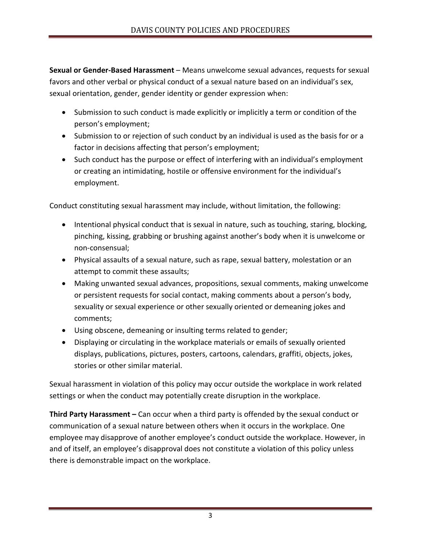**Sexual or Gender-Based Harassment** – Means unwelcome sexual advances, requests for sexual favors and other verbal or physical conduct of a sexual nature based on an individual's sex, sexual orientation, gender, gender identity or gender expression when:

- Submission to such conduct is made explicitly or implicitly a term or condition of the person's employment;
- Submission to or rejection of such conduct by an individual is used as the basis for or a factor in decisions affecting that person's employment;
- Such conduct has the purpose or effect of interfering with an individual's employment or creating an intimidating, hostile or offensive environment for the individual's employment.

Conduct constituting sexual harassment may include, without limitation, the following:

- Intentional physical conduct that is sexual in nature, such as touching, staring, blocking, pinching, kissing, grabbing or brushing against another's body when it is unwelcome or non-consensual;
- Physical assaults of a sexual nature, such as rape, sexual battery, molestation or an attempt to commit these assaults;
- Making unwanted sexual advances, propositions, sexual comments, making unwelcome or persistent requests for social contact, making comments about a person's body, sexuality or sexual experience or other sexually oriented or demeaning jokes and comments;
- Using obscene, demeaning or insulting terms related to gender;
- Displaying or circulating in the workplace materials or emails of sexually oriented displays, publications, pictures, posters, cartoons, calendars, graffiti, objects, jokes, stories or other similar material.

Sexual harassment in violation of this policy may occur outside the workplace in work related settings or when the conduct may potentially create disruption in the workplace.

**Third Party Harassment –** Can occur when a third party is offended by the sexual conduct or communication of a sexual nature between others when it occurs in the workplace. One employee may disapprove of another employee's conduct outside the workplace. However, in and of itself, an employee's disapproval does not constitute a violation of this policy unless there is demonstrable impact on the workplace.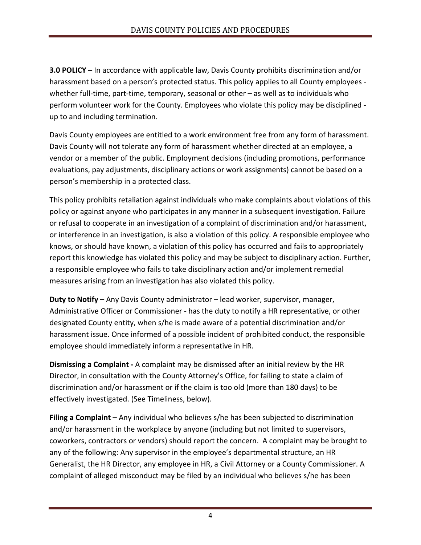**3.0 POLICY –** In accordance with applicable law, Davis County prohibits discrimination and/or harassment based on a person's protected status. This policy applies to all County employees whether full-time, part-time, temporary, seasonal or other – as well as to individuals who perform volunteer work for the County. Employees who violate this policy may be disciplined up to and including termination.

Davis County employees are entitled to a work environment free from any form of harassment. Davis County will not tolerate any form of harassment whether directed at an employee, a vendor or a member of the public. Employment decisions (including promotions, performance evaluations, pay adjustments, disciplinary actions or work assignments) cannot be based on a person's membership in a protected class.

This policy prohibits retaliation against individuals who make complaints about violations of this policy or against anyone who participates in any manner in a subsequent investigation. Failure or refusal to cooperate in an investigation of a complaint of discrimination and/or harassment, or interference in an investigation, is also a violation of this policy. A responsible employee who knows, or should have known, a violation of this policy has occurred and fails to appropriately report this knowledge has violated this policy and may be subject to disciplinary action. Further, a responsible employee who fails to take disciplinary action and/or implement remedial measures arising from an investigation has also violated this policy.

**Duty to Notify –** Any Davis County administrator – lead worker, supervisor, manager, Administrative Officer or Commissioner - has the duty to notify a HR representative, or other designated County entity, when s/he is made aware of a potential discrimination and/or harassment issue. Once informed of a possible incident of prohibited conduct, the responsible employee should immediately inform a representative in HR.

**Dismissing a Complaint -** A complaint may be dismissed after an initial review by the HR Director, in consultation with the County Attorney's Office, for failing to state a claim of discrimination and/or harassment or if the claim is too old (more than 180 days) to be effectively investigated. (See Timeliness, below).

**Filing a Complaint –** Any individual who believes s/he has been subjected to discrimination and/or harassment in the workplace by anyone (including but not limited to supervisors, coworkers, contractors or vendors) should report the concern. A complaint may be brought to any of the following: Any supervisor in the employee's departmental structure, an HR Generalist, the HR Director, any employee in HR, a Civil Attorney or a County Commissioner. A complaint of alleged misconduct may be filed by an individual who believes s/he has been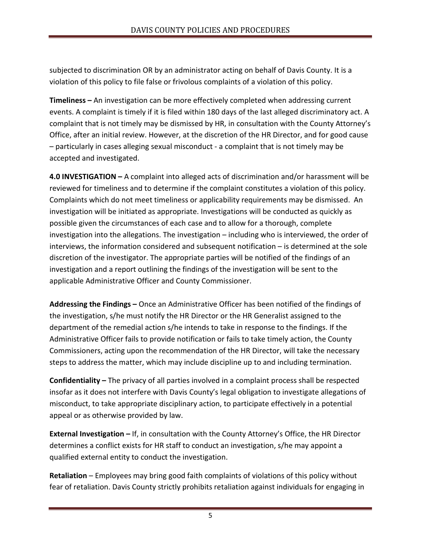subjected to discrimination OR by an administrator acting on behalf of Davis County. It is a violation of this policy to file false or frivolous complaints of a violation of this policy.

**Timeliness –** An investigation can be more effectively completed when addressing current events. A complaint is timely if it is filed within 180 days of the last alleged discriminatory act. A complaint that is not timely may be dismissed by HR, in consultation with the County Attorney's Office, after an initial review. However, at the discretion of the HR Director, and for good cause – particularly in cases alleging sexual misconduct - a complaint that is not timely may be accepted and investigated.

**4.0 INVESTIGATION –** A complaint into alleged acts of discrimination and/or harassment will be reviewed for timeliness and to determine if the complaint constitutes a violation of this policy. Complaints which do not meet timeliness or applicability requirements may be dismissed. An investigation will be initiated as appropriate. Investigations will be conducted as quickly as possible given the circumstances of each case and to allow for a thorough, complete investigation into the allegations. The investigation – including who is interviewed, the order of interviews, the information considered and subsequent notification – is determined at the sole discretion of the investigator. The appropriate parties will be notified of the findings of an investigation and a report outlining the findings of the investigation will be sent to the applicable Administrative Officer and County Commissioner.

**Addressing the Findings –** Once an Administrative Officer has been notified of the findings of the investigation, s/he must notify the HR Director or the HR Generalist assigned to the department of the remedial action s/he intends to take in response to the findings. If the Administrative Officer fails to provide notification or fails to take timely action, the County Commissioners, acting upon the recommendation of the HR Director, will take the necessary steps to address the matter, which may include discipline up to and including termination.

**Confidentiality –** The privacy of all parties involved in a complaint process shall be respected insofar as it does not interfere with Davis County's legal obligation to investigate allegations of misconduct, to take appropriate disciplinary action, to participate effectively in a potential appeal or as otherwise provided by law.

**External Investigation –** If, in consultation with the County Attorney's Office, the HR Director determines a conflict exists for HR staff to conduct an investigation, s/he may appoint a qualified external entity to conduct the investigation.

**Retaliation** – Employees may bring good faith complaints of violations of this policy without fear of retaliation. Davis County strictly prohibits retaliation against individuals for engaging in